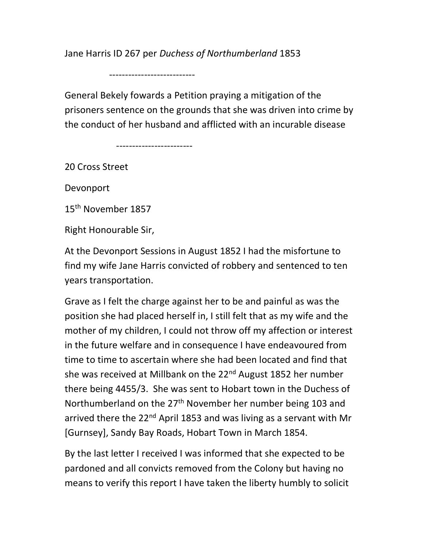Jane Harris ID 267 per Duchess of Northumberland 1853

---------------------------

General Bekely fowards a Petition praying a mitigation of the prisoners sentence on the grounds that she was driven into crime by the conduct of her husband and afflicted with an incurable disease

------------------------

20 Cross Street

Devonport

15<sup>th</sup> November 1857

Right Honourable Sir,

At the Devonport Sessions in August 1852 I had the misfortune to find my wife Jane Harris convicted of robbery and sentenced to ten years transportation.

Grave as I felt the charge against her to be and painful as was the position she had placed herself in, I still felt that as my wife and the mother of my children, I could not throw off my affection or interest in the future welfare and in consequence I have endeavoured from time to time to ascertain where she had been located and find that she was received at Millbank on the 22<sup>nd</sup> August 1852 her number there being 4455/3. She was sent to Hobart town in the Duchess of Northumberland on the 27<sup>th</sup> November her number being 103 and arrived there the 22<sup>nd</sup> April 1853 and was living as a servant with Mr [Gurnsey], Sandy Bay Roads, Hobart Town in March 1854.

By the last letter I received I was informed that she expected to be pardoned and all convicts removed from the Colony but having no means to verify this report I have taken the liberty humbly to solicit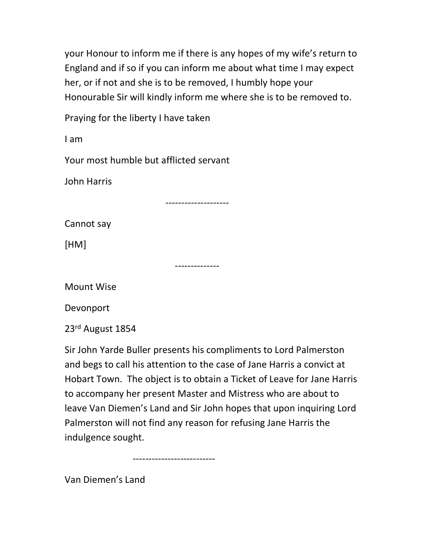your Honour to inform me if there is any hopes of my wife's return to England and if so if you can inform me about what time I may expect her, or if not and she is to be removed, I humbly hope your Honourable Sir will kindly inform me where she is to be removed to.

Praying for the liberty I have taken

I am

Your most humble but afflicted servant

John Harris

--------------------

Cannot say

[HM]

--------------

Mount Wise

Devonport

23rd August 1854

Sir John Yarde Buller presents his compliments to Lord Palmerston and begs to call his attention to the case of Jane Harris a convict at Hobart Town. The object is to obtain a Ticket of Leave for Jane Harris to accompany her present Master and Mistress who are about to leave Van Diemen's Land and Sir John hopes that upon inquiring Lord Palmerston will not find any reason for refusing Jane Harris the indulgence sought.

--------------------------

Van Diemen's Land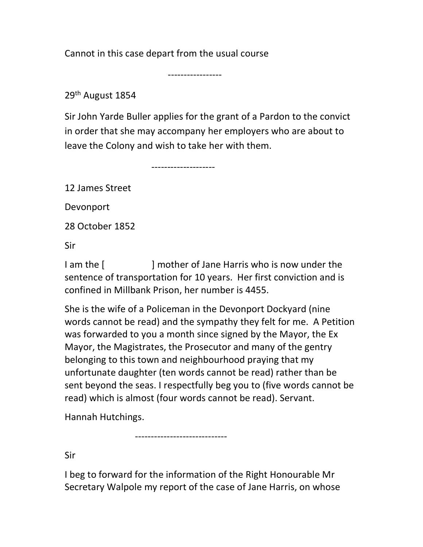Cannot in this case depart from the usual course

-----------------

29th August 1854

Sir John Yarde Buller applies for the grant of a Pardon to the convict in order that she may accompany her employers who are about to leave the Colony and wish to take her with them.

--------------------

12 James Street

Devonport

28 October 1852

Sir

I am the [ ] mother of Jane Harris who is now under the sentence of transportation for 10 years. Her first conviction and is confined in Millbank Prison, her number is 4455.

She is the wife of a Policeman in the Devonport Dockyard (nine words cannot be read) and the sympathy they felt for me. A Petition was forwarded to you a month since signed by the Mayor, the Ex Mayor, the Magistrates, the Prosecutor and many of the gentry belonging to this town and neighbourhood praying that my unfortunate daughter (ten words cannot be read) rather than be sent beyond the seas. I respectfully beg you to (five words cannot be read) which is almost (four words cannot be read). Servant.

Hannah Hutchings.

Sir

I beg to forward for the information of the Right Honourable Mr Secretary Walpole my report of the case of Jane Harris, on whose

-----------------------------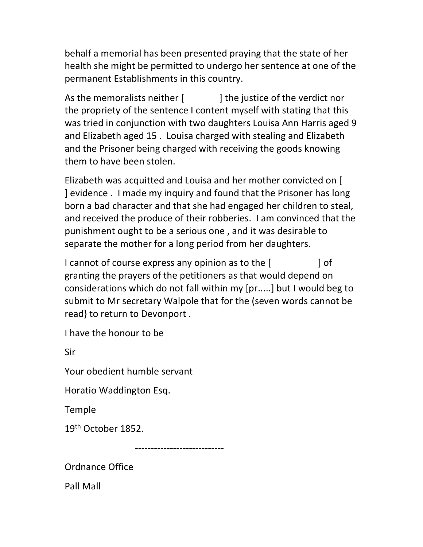behalf a memorial has been presented praying that the state of her health she might be permitted to undergo her sentence at one of the permanent Establishments in this country.

As the memoralists neither [ ] the justice of the verdict nor the propriety of the sentence I content myself with stating that this was tried in conjunction with two daughters Louisa Ann Harris aged 9 and Elizabeth aged 15 . Louisa charged with stealing and Elizabeth and the Prisoner being charged with receiving the goods knowing them to have been stolen.

Elizabeth was acquitted and Louisa and her mother convicted on [ ] evidence . I made my inquiry and found that the Prisoner has long born a bad character and that she had engaged her children to steal, and received the produce of their robberies. I am convinced that the punishment ought to be a serious one , and it was desirable to separate the mother for a long period from her daughters.

I cannot of course express any opinion as to the [  $\qquad$  ] of granting the prayers of the petitioners as that would depend on considerations which do not fall within my [pr.....] but I would beg to submit to Mr secretary Walpole that for the (seven words cannot be read} to return to Devonport .

I have the honour to be

Sir

Your obedient humble servant

Horatio Waddington Esq.

Temple

19th October 1852.

----------------------------

Ordnance Office

Pall Mall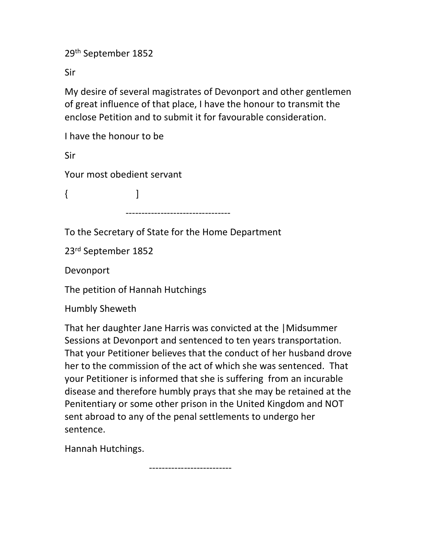29th September 1852

Sir

My desire of several magistrates of Devonport and other gentlemen of great influence of that place, I have the honour to transmit the enclose Petition and to submit it for favourable consideration.

I have the honour to be

Sir

Your most obedient servant

 $\{$   $\qquad$   $\}$ 

---------------------------------

To the Secretary of State for the Home Department

23rd September 1852

Devonport

The petition of Hannah Hutchings

Humbly Sheweth

That her daughter Jane Harris was convicted at the |Midsummer Sessions at Devonport and sentenced to ten years transportation. That your Petitioner believes that the conduct of her husband drove her to the commission of the act of which she was sentenced. That your Petitioner is informed that she is suffering from an incurable disease and therefore humbly prays that she may be retained at the Penitentiary or some other prison in the United Kingdom and NOT sent abroad to any of the penal settlements to undergo her sentence.

Hannah Hutchings.

--------------------------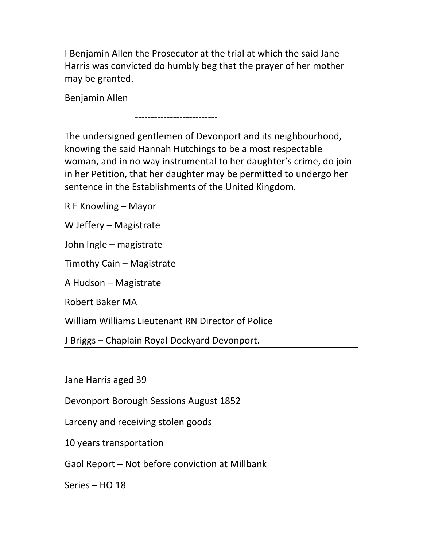I Benjamin Allen the Prosecutor at the trial at which the said Jane Harris was convicted do humbly beg that the prayer of her mother may be granted.

Benjamin Allen

--------------------------

The undersigned gentlemen of Devonport and its neighbourhood, knowing the said Hannah Hutchings to be a most respectable woman, and in no way instrumental to her daughter's crime, do join in her Petition, that her daughter may be permitted to undergo her sentence in the Establishments of the United Kingdom.

R E Knowling – Mayor

W Jeffery – Magistrate

John Ingle – magistrate

Timothy Cain – Magistrate

A Hudson – Magistrate

Robert Baker MA

William Williams Lieutenant RN Director of Police

J Briggs – Chaplain Royal Dockyard Devonport.

Jane Harris aged 39

Devonport Borough Sessions August 1852

Larceny and receiving stolen goods

10 years transportation

Gaol Report – Not before conviction at Millbank

Series – HO 18